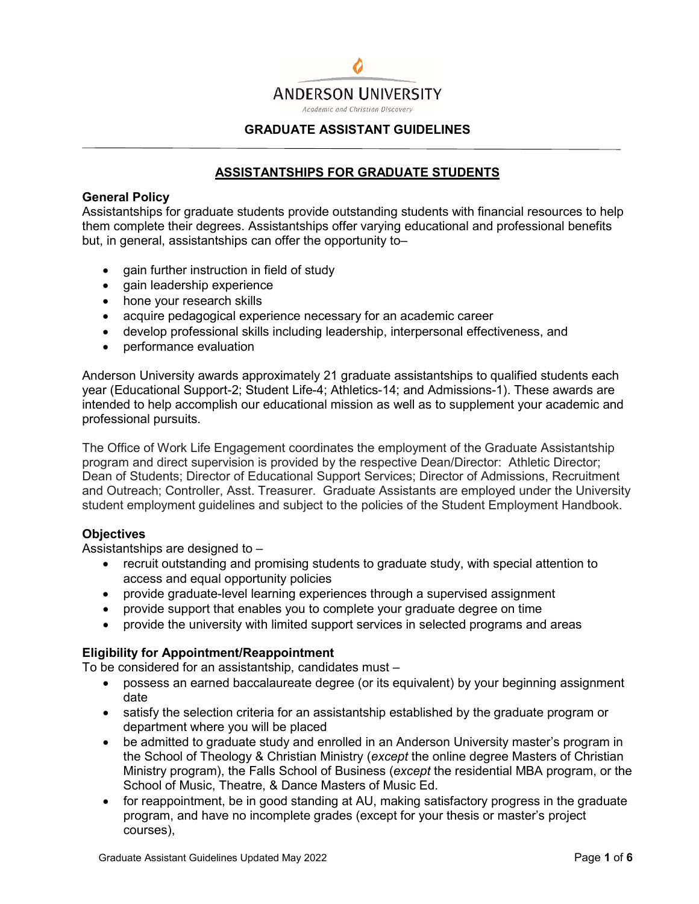

### **GRADUATE ASSISTANT GUIDELINES**

# **ASSISTANTSHIPS FOR GRADUATE STUDENTS**

### **General Policy**

Assistantships for graduate students provide outstanding students with financial resources to help them complete their degrees. Assistantships offer varying educational and professional benefits but, in general, assistantships can offer the opportunity to–

- gain further instruction in field of study
- gain leadership experience
- hone your research skills
- acquire pedagogical experience necessary for an academic career
- develop professional skills including leadership, interpersonal effectiveness, and
- performance evaluation

Anderson University awards approximately 21 graduate assistantships to qualified students each year (Educational Support-2; Student Life-4; Athletics-14; and Admissions-1). These awards are intended to help accomplish our educational mission as well as to supplement your academic and professional pursuits.

The Office of Work Life Engagement coordinates the employment of the Graduate Assistantship program and direct supervision is provided by the respective Dean/Director: Athletic Director; Dean of Students; Director of Educational Support Services; Director of Admissions, Recruitment and Outreach; Controller, Asst. Treasurer. Graduate Assistants are employed under the University student employment guidelines and subject to the policies of the Student Employment Handbook.

#### **Objectives**

Assistantships are designed to –

- recruit outstanding and promising students to graduate study, with special attention to access and equal opportunity policies
- provide graduate-level learning experiences through a supervised assignment
- provide support that enables you to complete your graduate degree on time
- provide the university with limited support services in selected programs and areas

## **Eligibility for Appointment/Reappointment**

To be considered for an assistantship, candidates must –

- possess an earned baccalaureate degree (or its equivalent) by your beginning assignment date
- satisfy the selection criteria for an assistantship established by the graduate program or department where you will be placed
- be admitted to graduate study and enrolled in an Anderson University master's program in the School of Theology & Christian Ministry (*except* the online degree Masters of Christian Ministry program), the Falls School of Business (*except* the residential MBA program, or the School of Music, Theatre, & Dance Masters of Music Ed.
- for reappointment, be in good standing at AU, making satisfactory progress in the graduate program, and have no incomplete grades (except for your thesis or master's project courses),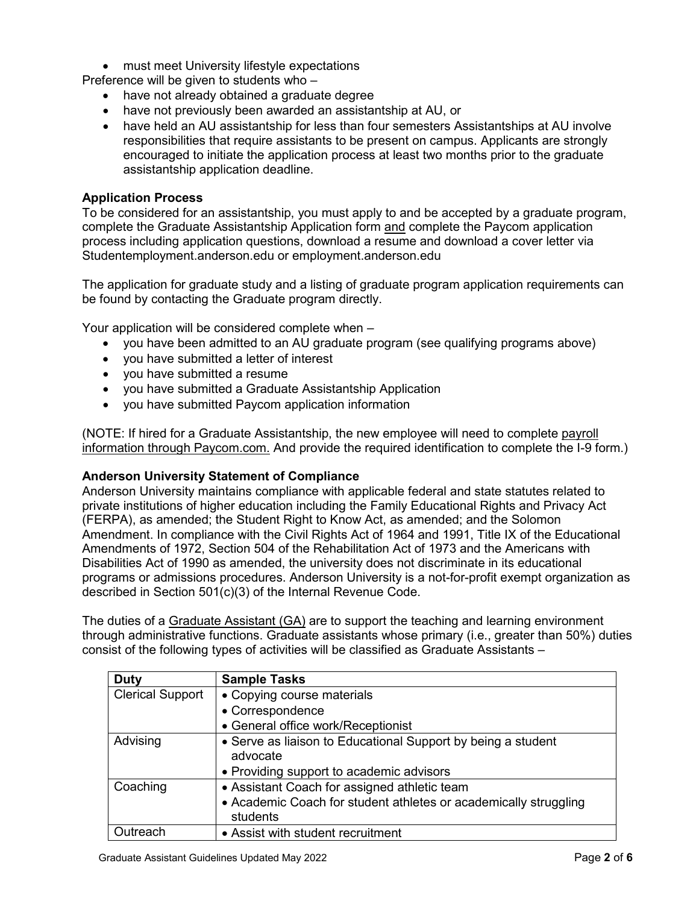• must meet University lifestyle expectations

Preference will be given to students who –

- have not already obtained a graduate degree
- have not previously been awarded an assistantship at AU, or
- have held an AU assistantship for less than four semesters Assistantships at AU involve responsibilities that require assistants to be present on campus. Applicants are strongly encouraged to initiate the application process at least two months prior to the graduate assistantship application deadline.

# **Application Process**

To be considered for an assistantship, you must apply to and be accepted by a graduate program, complete the Graduate Assistantship Application form and complete the Paycom application process including application questions, download a resume and download a cover letter via Studentemployment.anderson.edu or employment.anderson.edu

The application for graduate study and a listing of graduate program application requirements can be found by contacting the Graduate program directly.

Your application will be considered complete when –

- you have been admitted to an AU graduate program (see qualifying programs above)
- you have submitted a letter of interest
- you have submitted a resume
- you have submitted a Graduate Assistantship Application
- you have submitted Paycom application information

(NOTE: If hired for a Graduate Assistantship, the new employee will need to complete payroll information through Paycom.com. And provide the required identification to complete the I-9 form.)

#### **Anderson University Statement of Compliance**

Anderson University maintains compliance with applicable federal and state statutes related to private institutions of higher education including the Family Educational Rights and Privacy Act (FERPA), as amended; the Student Right to Know Act, as amended; and the Solomon Amendment. In compliance with the Civil Rights Act of 1964 and 1991, Title IX of the Educational Amendments of 1972, Section 504 of the Rehabilitation Act of 1973 and the Americans with Disabilities Act of 1990 as amended, the university does not discriminate in its educational programs or admissions procedures. Anderson University is a not-for-profit exempt organization as described in Section 501(c)(3) of the Internal Revenue Code.

The duties of a Graduate Assistant (GA) are to support the teaching and learning environment through administrative functions. Graduate assistants whose primary (i.e., greater than 50%) duties consist of the following types of activities will be classified as Graduate Assistants –

| <b>Duty</b>             | <b>Sample Tasks</b>                                              |
|-------------------------|------------------------------------------------------------------|
| <b>Clerical Support</b> | • Copying course materials                                       |
|                         | • Correspondence                                                 |
|                         | • General office work/Receptionist                               |
| Advising                | • Serve as liaison to Educational Support by being a student     |
|                         | advocate                                                         |
|                         | • Providing support to academic advisors                         |
| Coaching                | • Assistant Coach for assigned athletic team                     |
|                         | • Academic Coach for student athletes or academically struggling |
|                         | students                                                         |
| Outreach                | • Assist with student recruitment                                |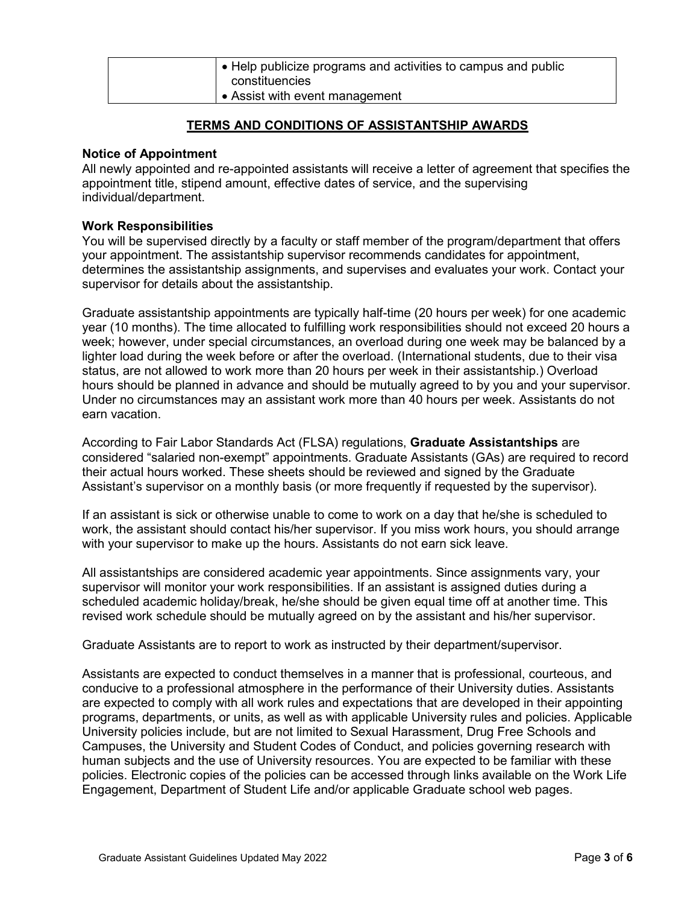| • Help publicize programs and activities to campus and public |
|---------------------------------------------------------------|
| constituencies                                                |
| • Assist with event management                                |

# **TERMS AND CONDITIONS OF ASSISTANTSHIP AWARDS**

### **Notice of Appointment**

All newly appointed and re-appointed assistants will receive a letter of agreement that specifies the appointment title, stipend amount, effective dates of service, and the supervising individual/department.

### **Work Responsibilities**

You will be supervised directly by a faculty or staff member of the program/department that offers your appointment. The assistantship supervisor recommends candidates for appointment, determines the assistantship assignments, and supervises and evaluates your work. Contact your supervisor for details about the assistantship.

Graduate assistantship appointments are typically half-time (20 hours per week) for one academic year (10 months). The time allocated to fulfilling work responsibilities should not exceed 20 hours a week; however, under special circumstances, an overload during one week may be balanced by a lighter load during the week before or after the overload. (International students, due to their visa status, are not allowed to work more than 20 hours per week in their assistantship.) Overload hours should be planned in advance and should be mutually agreed to by you and your supervisor. Under no circumstances may an assistant work more than 40 hours per week. Assistants do not earn vacation.

According to Fair Labor Standards Act (FLSA) regulations, **Graduate Assistantships** are considered "salaried non-exempt" appointments. Graduate Assistants (GAs) are required to record their actual hours worked. These sheets should be reviewed and signed by the Graduate Assistant's supervisor on a monthly basis (or more frequently if requested by the supervisor).

If an assistant is sick or otherwise unable to come to work on a day that he/she is scheduled to work, the assistant should contact his/her supervisor. If you miss work hours, you should arrange with your supervisor to make up the hours. Assistants do not earn sick leave.

All assistantships are considered academic year appointments. Since assignments vary, your supervisor will monitor your work responsibilities. If an assistant is assigned duties during a scheduled academic holiday/break, he/she should be given equal time off at another time. This revised work schedule should be mutually agreed on by the assistant and his/her supervisor.

Graduate Assistants are to report to work as instructed by their department/supervisor.

Assistants are expected to conduct themselves in a manner that is professional, courteous, and conducive to a professional atmosphere in the performance of their University duties. Assistants are expected to comply with all work rules and expectations that are developed in their appointing programs, departments, or units, as well as with applicable University rules and policies. Applicable University policies include, but are not limited to Sexual Harassment, Drug Free Schools and Campuses, the University and Student Codes of Conduct, and policies governing research with human subjects and the use of University resources. You are expected to be familiar with these policies. Electronic copies of the policies can be accessed through links available on the Work Life Engagement, Department of Student Life and/or applicable Graduate school web pages.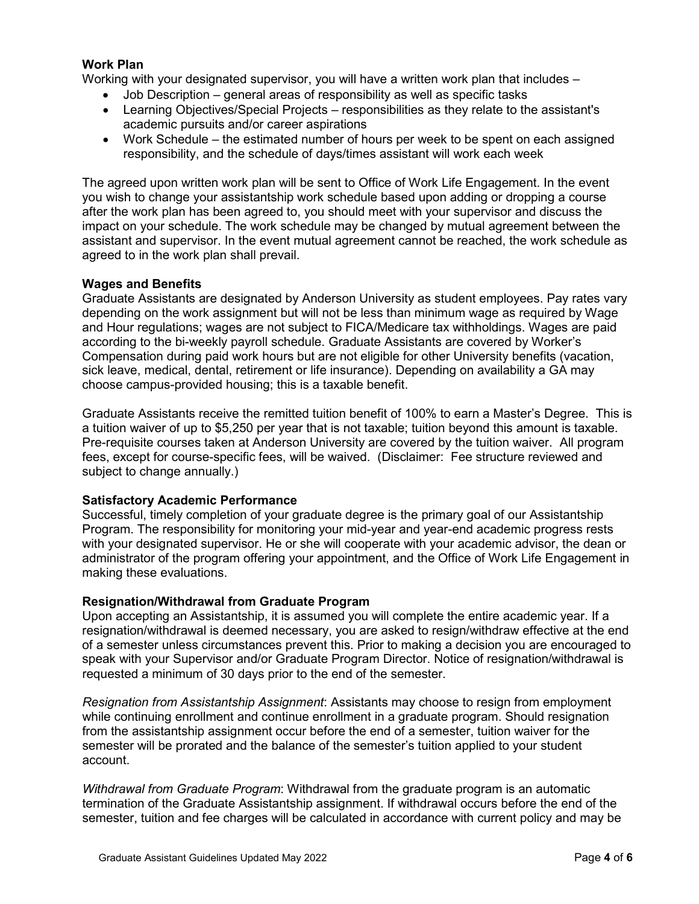# **Work Plan**

Working with your designated supervisor, you will have a written work plan that includes –

- Job Description general areas of responsibility as well as specific tasks
- Learning Objectives/Special Projects responsibilities as they relate to the assistant's academic pursuits and/or career aspirations
- Work Schedule the estimated number of hours per week to be spent on each assigned responsibility, and the schedule of days/times assistant will work each week

The agreed upon written work plan will be sent to Office of Work Life Engagement. In the event you wish to change your assistantship work schedule based upon adding or dropping a course after the work plan has been agreed to, you should meet with your supervisor and discuss the impact on your schedule. The work schedule may be changed by mutual agreement between the assistant and supervisor. In the event mutual agreement cannot be reached, the work schedule as agreed to in the work plan shall prevail.

### **Wages and Benefits**

Graduate Assistants are designated by Anderson University as student employees. Pay rates vary depending on the work assignment but will not be less than minimum wage as required by Wage and Hour regulations; wages are not subject to FICA/Medicare tax withholdings. Wages are paid according to the bi-weekly payroll schedule. Graduate Assistants are covered by Worker's Compensation during paid work hours but are not eligible for other University benefits (vacation, sick leave, medical, dental, retirement or life insurance). Depending on availability a GA may choose campus-provided housing; this is a taxable benefit.

Graduate Assistants receive the remitted tuition benefit of 100% to earn a Master's Degree. This is a tuition waiver of up to \$5,250 per year that is not taxable; tuition beyond this amount is taxable. Pre-requisite courses taken at Anderson University are covered by the tuition waiver. All program fees, except for course-specific fees, will be waived. (Disclaimer: Fee structure reviewed and subject to change annually.)

## **Satisfactory Academic Performance**

Successful, timely completion of your graduate degree is the primary goal of our Assistantship Program. The responsibility for monitoring your mid-year and year-end academic progress rests with your designated supervisor. He or she will cooperate with your academic advisor, the dean or administrator of the program offering your appointment, and the Office of Work Life Engagement in making these evaluations.

#### **Resignation/Withdrawal from Graduate Program**

Upon accepting an Assistantship, it is assumed you will complete the entire academic year. If a resignation/withdrawal is deemed necessary, you are asked to resign/withdraw effective at the end of a semester unless circumstances prevent this. Prior to making a decision you are encouraged to speak with your Supervisor and/or Graduate Program Director. Notice of resignation/withdrawal is requested a minimum of 30 days prior to the end of the semester.

*Resignation from Assistantship Assignment*: Assistants may choose to resign from employment while continuing enrollment and continue enrollment in a graduate program. Should resignation from the assistantship assignment occur before the end of a semester, tuition waiver for the semester will be prorated and the balance of the semester's tuition applied to your student account.

*Withdrawal from Graduate Program*: Withdrawal from the graduate program is an automatic termination of the Graduate Assistantship assignment. If withdrawal occurs before the end of the semester, tuition and fee charges will be calculated in accordance with current policy and may be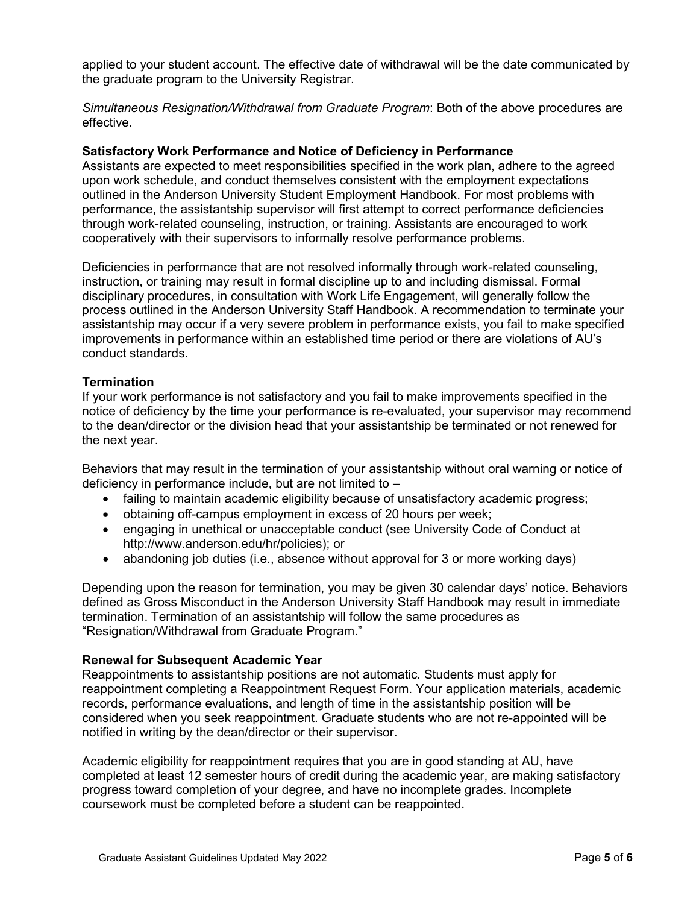applied to your student account. The effective date of withdrawal will be the date communicated by the graduate program to the University Registrar.

*Simultaneous Resignation/Withdrawal from Graduate Program*: Both of the above procedures are effective.

#### **Satisfactory Work Performance and Notice of Deficiency in Performance**

Assistants are expected to meet responsibilities specified in the work plan, adhere to the agreed upon work schedule, and conduct themselves consistent with the employment expectations outlined in the Anderson University Student Employment Handbook. For most problems with performance, the assistantship supervisor will first attempt to correct performance deficiencies through work-related counseling, instruction, or training. Assistants are encouraged to work cooperatively with their supervisors to informally resolve performance problems.

Deficiencies in performance that are not resolved informally through work-related counseling, instruction, or training may result in formal discipline up to and including dismissal. Formal disciplinary procedures, in consultation with Work Life Engagement, will generally follow the process outlined in the Anderson University Staff Handbook. A recommendation to terminate your assistantship may occur if a very severe problem in performance exists, you fail to make specified improvements in performance within an established time period or there are violations of AU's conduct standards.

### **Termination**

If your work performance is not satisfactory and you fail to make improvements specified in the notice of deficiency by the time your performance is re-evaluated, your supervisor may recommend to the dean/director or the division head that your assistantship be terminated or not renewed for the next year.

Behaviors that may result in the termination of your assistantship without oral warning or notice of deficiency in performance include, but are not limited to –

- failing to maintain academic eligibility because of unsatisfactory academic progress;
- obtaining off-campus employment in excess of 20 hours per week;
- engaging in unethical or unacceptable conduct (see University Code of Conduct at http://www.anderson.edu/hr/policies); or
- abandoning job duties (i.e., absence without approval for 3 or more working days)

Depending upon the reason for termination, you may be given 30 calendar days' notice. Behaviors defined as Gross Misconduct in the Anderson University Staff Handbook may result in immediate termination. Termination of an assistantship will follow the same procedures as "Resignation/Withdrawal from Graduate Program."

#### **Renewal for Subsequent Academic Year**

Reappointments to assistantship positions are not automatic. Students must apply for reappointment completing a Reappointment Request Form. Your application materials, academic records, performance evaluations, and length of time in the assistantship position will be considered when you seek reappointment. Graduate students who are not re-appointed will be notified in writing by the dean/director or their supervisor.

Academic eligibility for reappointment requires that you are in good standing at AU, have completed at least 12 semester hours of credit during the academic year, are making satisfactory progress toward completion of your degree, and have no incomplete grades. Incomplete coursework must be completed before a student can be reappointed.